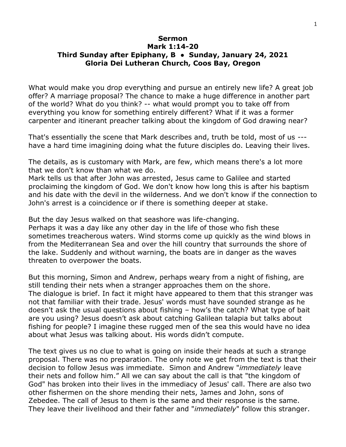## **Sermon Mark 1:14-20 Third Sunday after Epiphany, B ● Sunday, January 24, 2021 Gloria Dei Lutheran Church, Coos Bay, Oregon**

What would make you drop everything and pursue an entirely new life? A great job offer? A marriage proposal? The chance to make a huge difference in another part of the world? What do you think? -- what would prompt you to take off from everything you know for something entirely different? What if it was a former carpenter and itinerant preacher talking about the kingdom of God drawing near?

That's essentially the scene that Mark describes and, truth be told, most of us -- have a hard time imagining doing what the future disciples do. Leaving their lives.

The details, as is customary with Mark, are few, which means there's a lot more that we don't know than what we do.

Mark tells us that after John was arrested, Jesus came to Galilee and started proclaiming the kingdom of God. We don't know how long this is after his baptism and his date with the devil in the wilderness. And we don't know if the connection to John's arrest is a coincidence or if there is something deeper at stake.

But the day Jesus walked on that seashore was life-changing.

Perhaps it was a day like any other day in the life of those who fish these sometimes treacherous waters. Wind storms come up quickly as the wind blows in from the Mediterranean Sea and over the hill country that surrounds the shore of the lake. Suddenly and without warning, the boats are in danger as the waves threaten to overpower the boats.

But this morning, Simon and Andrew, perhaps weary from a night of fishing, are still tending their nets when a stranger approaches them on the shore. The dialogue is brief. In fact it might have appeared to them that this stranger was not that familiar with their trade. Jesus' words must have sounded strange as he doesn't ask the usual questions about fishing – how's the catch? What type of bait are you using? Jesus doesn't ask about catching Galilean talapia but talks about fishing for people? I imagine these rugged men of the sea this would have no idea about what Jesus was talking about. His words didn't compute.

The text gives us no clue to what is going on inside their heads at such a strange proposal. There was no preparation. The only note we get from the text is that their decision to follow Jesus was immediate. Simon and Andrew "*immediately* leave their nets and follow him." All we can say about the call is that "the kingdom of God" has broken into their lives in the immediacy of Jesus' call. There are also two other fishermen on the shore mending their nets, James and John, sons of Zebedee. The call of Jesus to them is the same and their response is the same. They leave their livelihood and their father and "*immediately*" follow this stranger.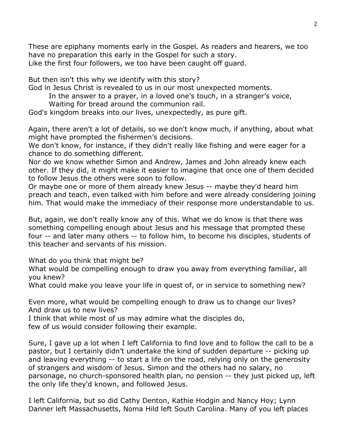These are epiphany moments early in the Gospel. As readers and hearers, we too have no preparation this early in the Gospel for such a story. Like the first four followers, we too have been caught off guard.

But then isn't this why we identify with this story?

God in Jesus Christ is revealed to us in our most unexpected moments.

In the answer to a prayer, in a loved one's touch, in a stranger's voice,

Waiting for bread around the communion rail.

God's kingdom breaks into our lives, unexpectedly, as pure gift.

Again, there aren't a lot of details, so we don't know much, if anything, about what might have prompted the fishermen's decisions.

We don't know, for instance, if they didn't really like fishing and were eager for a chance to do something different.

Nor do we know whether Simon and Andrew, James and John already knew each other. If they did, it might make it easier to imagine that once one of them decided to follow Jesus the others were soon to follow.

Or maybe one or more of them already knew Jesus -- maybe they'd heard him preach and teach, even talked with him before and were already considering joining him. That would make the immediacy of their response more understandable to us.

But, again, we don't really know any of this. What we do know is that there was something compelling enough about Jesus and his message that prompted these four -- and later many others -- to follow him, to become his disciples, students of this teacher and servants of his mission.

What do you think that might be?

What would be compelling enough to draw you away from everything familiar, all you knew?

What could make you leave your life in quest of, or in service to something new?

Even more, what would be compelling enough to draw us to change our lives? And draw us to new lives?

I think that while most of us may admire what the disciples do,

few of us would consider following their example.

Sure, I gave up a lot when I left California to find love and to follow the call to be a pastor, but I certainly didn't undertake the kind of sudden departure -- picking up and leaving everything -- to start a life on the road, relying only on the generosity of strangers and wisdom of Jesus. Simon and the others had no salary, no parsonage, no church-sponsored health plan, no pension -- they just picked up, left the only life they'd known, and followed Jesus.

I left California, but so did Cathy Denton, Kathie Hodgin and Nancy Hoy; Lynn Danner left Massachusetts, Noma Hild left South Carolina. Many of you left places